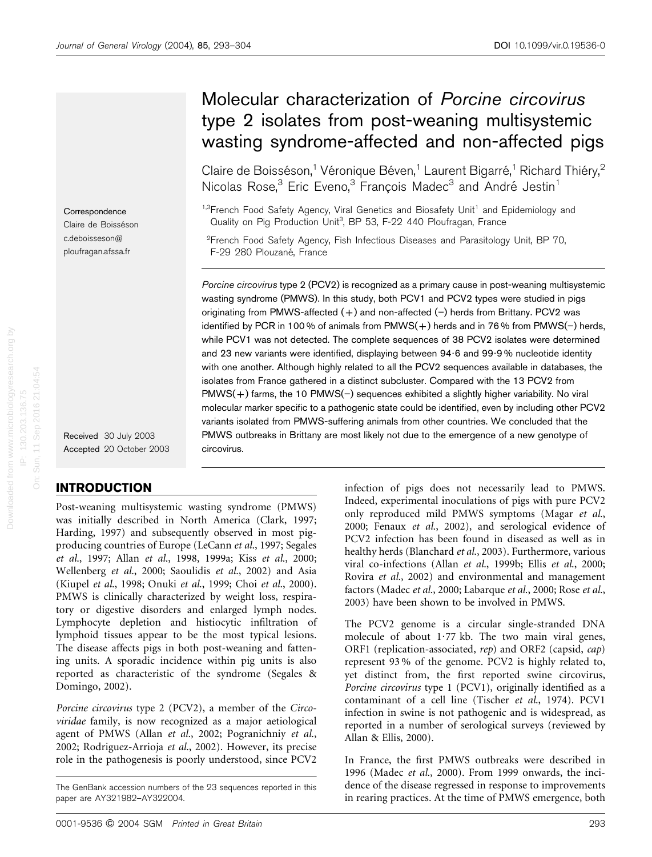**Correspondence** Claire de Boisséson c.deboisseson@ ploufragan.afssa.fr

Received 30 July 2003 Accepted 20 October 2003

# INTRODUCTION

Post-weaning multisystemic wasting syndrome (PMWS) was initially described in North America (Clark, 1997; Harding, 1997) and subsequently observed in most pigproducing countries of Europe (LeCann et al., 1997; Segales et al., 1997; Allan et al., 1998, 1999a; Kiss et al., 2000; Wellenberg et al., 2000; Saoulidis et al., 2002) and Asia (Kiupel et al., 1998; Onuki et al., 1999; Choi et al., 2000). PMWS is clinically characterized by weight loss, respiratory or digestive disorders and enlarged lymph nodes. Lymphocyte depletion and histiocytic infiltration of lymphoid tissues appear to be the most typical lesions. The disease affects pigs in both post-weaning and fattening units. A sporadic incidence within pig units is also reported as characteristic of the syndrome (Segales & Domingo, 2002).

Porcine circovirus type 2 (PCV2), a member of the Circoviridae family, is now recognized as a major aetiological agent of PMWS (Allan et al., 2002; Pogranichniy et al., 2002; Rodriguez-Arrioja et al., 2002). However, its precise role in the pathogenesis is poorly understood, since PCV2

# Molecular characterization of Porcine circovirus type 2 isolates from post-weaning multisystemic wasting syndrome-affected and non-affected pigs

Claire de Boisséson,<sup>1</sup> Véronique Béven,<sup>1</sup> Laurent Bigarré,<sup>1</sup> Richard Thiéry,<sup>2</sup> Nicolas Rose,<sup>3</sup> Eric Eveno,<sup>3</sup> Francois Madec<sup>3</sup> and André Jestin<sup>1</sup>

<sup>1,3</sup>French Food Safety Agency, Viral Genetics and Biosafety Unit<sup>1</sup> and Epidemiology and Quality on Pig Production Unit<sup>3</sup>, BP 53, F-22 440 Ploufragan, France

<sup>2</sup> French Food Safety Agency, Fish Infectious Diseases and Parasitology Unit, BP 70, F-29 280 Plouzané, France

Porcine circovirus type 2 (PCV2) is recognized as a primary cause in post-weaning multisystemic wasting syndrome (PMWS). In this study, both PCV1 and PCV2 types were studied in pigs originating from PMWS-affected  $(+)$  and non-affected  $(-)$  herds from Brittany. PCV2 was identified by PCR in 100 % of animals from  $PMWS(+)$  herds and in 76 % from  $PMWS(-)$  herds, while PCV1 was not detected. The complete sequences of 38 PCV2 isolates were determined and 23 new variants were identified, displaying between 94?6 and 99?9 % nucleotide identity with one another. Although highly related to all the PCV2 sequences available in databases, the isolates from France gathered in a distinct subcluster. Compared with the 13 PCV2 from  $PMWS(+)$  farms, the 10  $PMWS(-)$  sequences exhibited a slightly higher variability. No viral molecular marker specific to a pathogenic state could be identified, even by including other PCV2 variants isolated from PMWS-suffering animals from other countries. We concluded that the PMWS outbreaks in Brittany are most likely not due to the emergence of a new genotype of circovirus.

> infection of pigs does not necessarily lead to PMWS. Indeed, experimental inoculations of pigs with pure PCV2 only reproduced mild PMWS symptoms (Magar et al., 2000; Fenaux et al., 2002), and serological evidence of PCV2 infection has been found in diseased as well as in healthy herds (Blanchard et al., 2003). Furthermore, various viral co-infections (Allan et al., 1999b; Ellis et al., 2000; Rovira et al., 2002) and environmental and management factors (Madec et al., 2000; Labarque et al., 2000; Rose et al., 2003) have been shown to be involved in PMWS.

> The PCV2 genome is a circular single-stranded DNA molecule of about  $1.77$  kb. The two main viral genes, ORF1 (replication-associated, rep) and ORF2 (capsid, cap) represent 93 % of the genome. PCV2 is highly related to, yet distinct from, the first reported swine circovirus, Porcine circovirus type 1 (PCV1), originally identified as a contaminant of a cell line (Tischer et al., 1974). PCV1 infection in swine is not pathogenic and is widespread, as reported in a number of serological surveys (reviewed by Allan & Ellis, 2000).

> In France, the first PMWS outbreaks were described in 1996 (Madec et al., 2000). From 1999 onwards, the incidence of the disease regressed in response to improvements in rearing practices. At the time of PMWS emergence, both

The GenBank accession numbers of the 23 sequences reported in this paper are AY321982–AY322004.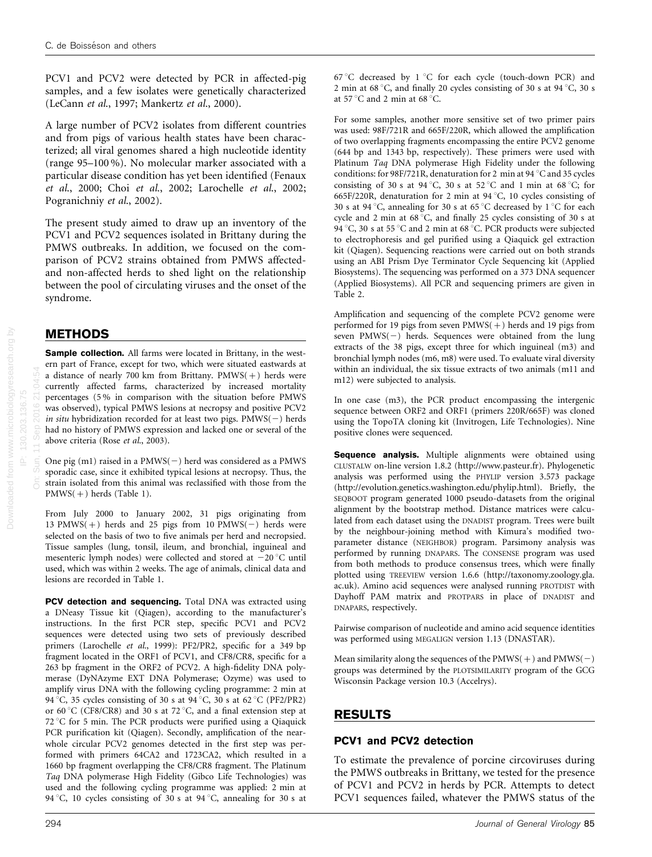PCV1 and PCV2 were detected by PCR in affected-pig samples, and a few isolates were genetically characterized (LeCann et al., 1997; Mankertz et al., 2000).

A large number of PCV2 isolates from different countries and from pigs of various health states have been characterized; all viral genomes shared a high nucleotide identity (range 95–100 %). No molecular marker associated with a particular disease condition has yet been identified (Fenaux et al., 2000; Choi et al., 2002; Larochelle et al., 2002; Pogranichniy et al., 2002).

The present study aimed to draw up an inventory of the PCV1 and PCV2 sequences isolated in Brittany during the PMWS outbreaks. In addition, we focused on the comparison of PCV2 strains obtained from PMWS affectedand non-affected herds to shed light on the relationship between the pool of circulating viruses and the onset of the syndrome.

## METHODS

Sample collection. All farms were located in Brittany, in the western part of France, except for two, which were situated eastwards at a distance of nearly 700 km from Brittany.  $PMWS(+)$  herds were currently affected farms, characterized by increased mortality percentages (5 % in comparison with the situation before PMWS was observed), typical PMWS lesions at necropsy and positive PCV2 in situ hybridization recorded for at least two pigs.  $PMWS(-)$  herds had no history of PMWS expression and lacked one or several of the above criteria (Rose et al., 2003).

One pig  $(m1)$  raised in a PMWS( $-)$  herd was considered as a PMWS sporadic case, since it exhibited typical lesions at necropsy. Thus, the strain isolated from this animal was reclassified with those from the PMWS(+) herds (Table 1).

From July 2000 to January 2002, 31 pigs originating from 13 PMWS(+) herds and 25 pigs from 10 PMWS(-) herds were selected on the basis of two to five animals per herd and necropsied. Tissue samples (lung, tonsil, ileum, and bronchial, inguineal and mesenteric lymph nodes) were collected and stored at  $-20^{\circ}$ C until used, which was within 2 weeks. The age of animals, clinical data and lesions are recorded in Table 1.

PCV detection and sequencing. Total DNA was extracted using a DNeasy Tissue kit (Qiagen), according to the manufacturer's instructions. In the first PCR step, specific PCV1 and PCV2 sequences were detected using two sets of previously described primers (Larochelle et al., 1999): PF2/PR2, specific for a 349 bp fragment located in the ORF1 of PCV1, and CF8/CR8, specific for a 263 bp fragment in the ORF2 of PCV2. A high-fidelity DNA polymerase (DyNAzyme EXT DNA Polymerase; Ozyme) was used to amplify virus DNA with the following cycling programme: 2 min at 94 °C, 35 cycles consisting of 30 s at  $94$  °C, 30 s at 62 °C (PF2/PR2) or 60 °C (CF8/CR8) and 30 s at 72 °C, and a final extension step at  $72^{\circ}$ C for 5 min. The PCR products were purified using a Qiaquick PCR purification kit (Qiagen). Secondly, amplification of the nearwhole circular PCV2 genomes detected in the first step was performed with primers 64CA2 and 1723CA2, which resulted in a 1660 bp fragment overlapping the CF8/CR8 fragment. The Platinum Taq DNA polymerase High Fidelity (Gibco Life Technologies) was used and the following cycling programme was applied: 2 min at 94 °C, 10 cycles consisting of 30 s at 94 °C, annealing for 30 s at 67 °C decreased by  $1$  °C for each cycle (touch-down PCR) and 2 min at 68 °C, and finally 20 cycles consisting of 30 s at  $94$  °C, 30 s at 57 $\mathrm{^{\circ}C}$  and 2 min at 68 $\mathrm{^{\circ}C}$ .

For some samples, another more sensitive set of two primer pairs was used: 98F/721R and 665F/220R, which allowed the amplification of two overlapping fragments encompassing the entire PCV2 genome (644 bp and 1343 bp, respectively). These primers were used with Platinum Taq DNA polymerase High Fidelity under the following conditions: for 98F/721R, denaturation for 2 min at 94  $^{\circ}$ C and 35 cycles consisting of 30 s at 94 °C, 30 s at 52 °C and 1 min at 68 °C; for 665F/220R, denaturation for 2 min at 94 °C, 10 cycles consisting of 30 s at 94 °C, annealing for 30 s at 65 °C decreased by 1 °C for each cycle and 2 min at  $68\,^{\circ}$ C, and finally 25 cycles consisting of 30 s at 94 °C, 30 s at 55 °C and 2 min at 68 °C. PCR products were subjected to electrophoresis and gel purified using a Qiaquick gel extraction kit (Qiagen). Sequencing reactions were carried out on both strands using an ABI Prism Dye Terminator Cycle Sequencing kit (Applied Biosystems). The sequencing was performed on a 373 DNA sequencer (Applied Biosystems). All PCR and sequencing primers are given in Table 2.

Amplification and sequencing of the complete PCV2 genome were performed for 19 pigs from seven  $PMWS(+)$  herds and 19 pigs from seven  $PMWS(-)$  herds. Sequences were obtained from the lung extracts of the 38 pigs, except three for which inguineal (m3) and bronchial lymph nodes (m6, m8) were used. To evaluate viral diversity within an individual, the six tissue extracts of two animals (m11 and m12) were subjected to analysis.

In one case (m3), the PCR product encompassing the intergenic sequence between ORF2 and ORF1 (primers 220R/665F) was cloned using the TopoTA cloning kit (Invitrogen, Life Technologies). Nine positive clones were sequenced.

**Sequence analysis.** Multiple alignments were obtained using CLUSTALW on-line version 1.8.2 (http://www.pasteur.fr). Phylogenetic analysis was performed using the PHYLIP version 3.573 package (http://evolution.genetics.washington.edu/phylip.html). Briefly, the SEQBOOT program generated 1000 pseudo-datasets from the original alignment by the bootstrap method. Distance matrices were calculated from each dataset using the DNADIST program. Trees were built by the neighbour-joining method with Kimura's modified twoparameter distance (NEIGHBOR) program. Parsimony analysis was performed by running DNAPARS. The CONSENSE program was used from both methods to produce consensus trees, which were finally plotted using TREEVIEW version 1.6.6 (http://taxonomy.zoology.gla. ac.uk). Amino acid sequences were analysed running PROTDIST with Dayhoff PAM matrix and PROTPARS in place of DNADIST and DNAPARS, respectively.

Pairwise comparison of nucleotide and amino acid sequence identities was performed using MEGALIGN version 1.13 (DNASTAR).

Mean similarity along the sequences of the  $PMWS(+)$  and  $PMWS(-)$ groups was determined by the PLOTSIMILARITY program of the GCG Wisconsin Package version 10.3 (Accelrys).

### RESULTS

### PCV1 and PCV2 detection

To estimate the prevalence of porcine circoviruses during the PMWS outbreaks in Brittany, we tested for the presence of PCV1 and PCV2 in herds by PCR. Attempts to detect PCV1 sequences failed, whatever the PMWS status of the

On: Sun, 11 Sep 2016 21:04:54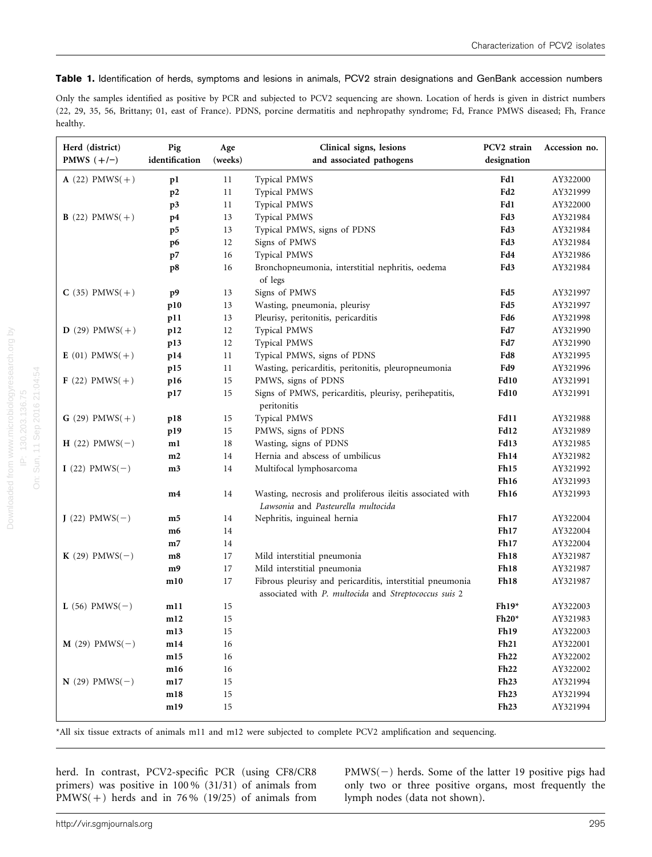#### Table 1. Identification of herds, symptoms and lesions in animals, PCV2 strain designations and GenBank accession numbers

Only the samples identified as positive by PCR and subjected to PCV2 sequencing are shown. Location of herds is given in district numbers (22, 29, 35, 56, Brittany; 01, east of France). PDNS, porcine dermatitis and nephropathy syndrome; Fd, France PMWS diseased; Fh, France healthy.

| Herd (district)<br>PMWS $(+/-)$ | Pig<br>identification | Age<br>(weeks) | Clinical signs, lesions<br>and associated pathogens                                                                | PCV2 strain<br>designation | Accession no. |  |
|---------------------------------|-----------------------|----------------|--------------------------------------------------------------------------------------------------------------------|----------------------------|---------------|--|
| <b>A</b> (22) $PMWS(+)$         | p1                    | 11             | Typical PMWS                                                                                                       | Fd1                        | AY322000      |  |
|                                 | p2                    | 11             | Typical PMWS                                                                                                       | Fd <sub>2</sub>            | AY321999      |  |
|                                 | p3                    | 11             | Typical PMWS                                                                                                       | Fd1                        | AY322000      |  |
| <b>B</b> (22) $PMWS(+)$         | p4                    | 13             | Typical PMWS                                                                                                       | Fd3                        | AY321984      |  |
|                                 | p5                    | 13             | Typical PMWS, signs of PDNS                                                                                        | Fd3                        | AY321984      |  |
|                                 | p6                    | 12             | Signs of PMWS                                                                                                      | Fd3                        | AY321984      |  |
|                                 | p7                    | 16             | Typical PMWS                                                                                                       | Fd4                        | AY321986      |  |
|                                 | p8                    | 16             | Bronchopneumonia, interstitial nephritis, oedema<br>of legs                                                        | Fd3                        | AY321984      |  |
| $C(35)$ PMWS(+)                 | p9                    | 13             | Signs of PMWS                                                                                                      | Fd5                        | AY321997      |  |
|                                 | p10                   | 13             | Wasting, pneumonia, pleurisy                                                                                       | Fd5                        | AY321997      |  |
|                                 | p11                   | 13             | Pleurisy, peritonitis, pericarditis                                                                                | Fd6                        | AY321998      |  |
| <b>D</b> (29) $PMWS(+)$         | p12                   | 12             | Typical PMWS                                                                                                       | Fd7                        | AY321990      |  |
|                                 | p13                   | 12             | <b>Typical PMWS</b>                                                                                                | Fd7                        | AY321990      |  |
| <b>E</b> (01) $PMWS(+)$         | p14                   | 11             | Typical PMWS, signs of PDNS                                                                                        | Fd8                        | AY321995      |  |
|                                 | p15                   | 11             | Wasting, pericarditis, peritonitis, pleuropneumonia                                                                | Fd9                        | AY321996      |  |
| <b>F</b> (22) PMWS(+)           | p16                   | 15             | PMWS, signs of PDNS                                                                                                | <b>Fd10</b>                | AY321991      |  |
|                                 | p17                   | 15             | Signs of PMWS, pericarditis, pleurisy, perihepatitis,<br>peritonitis                                               | <b>Fd10</b>                | AY321991      |  |
| <b>G</b> (29) PMWS(+)           | p18                   | 15             | <b>Typical PMWS</b>                                                                                                | Fd11                       | AY321988      |  |
|                                 | p19                   | 15             | PMWS, signs of PDNS                                                                                                | Fd12                       | AY321989      |  |
| $H(22)$ PMWS(-)                 | m1                    | 18             | Wasting, signs of PDNS                                                                                             | Fd13                       | AY321985      |  |
|                                 | m2                    | 14             | Hernia and abscess of umbilicus                                                                                    | Fh14                       | AY321982      |  |
| $I(22)$ PMWS(-)                 | m3                    | 14             | Multifocal lymphosarcoma                                                                                           | <b>Fh15</b>                | AY321992      |  |
|                                 |                       |                |                                                                                                                    | Fh16                       | AY321993      |  |
|                                 | m4                    | 14             | Wasting, necrosis and proliferous ileitis associated with<br>Lawsonia and Pasteurella multocida                    | Fh16                       | AY321993      |  |
| $J(22)$ PMWS(-)                 | m5                    | 14             | Nephritis, inguineal hernia                                                                                        | Fh17                       | AY322004      |  |
|                                 | m6                    | 14             |                                                                                                                    | Fh17                       | AY322004      |  |
|                                 | m7                    | 14             |                                                                                                                    | <b>Fh17</b>                | AY322004      |  |
| K (29) PMWS( $-$ )              | m8                    | 17             | Mild interstitial pneumonia                                                                                        | Fh18                       | AY321987      |  |
|                                 | m9                    | 17             | Mild interstitial pneumonia                                                                                        | Fh18                       | AY321987      |  |
|                                 | m10                   | 17             | Fibrous pleurisy and pericarditis, interstitial pneumonia<br>associated with P. multocida and Streptococcus suis 2 | Fh18                       | AY321987      |  |
| <b>L</b> (56) PMWS( $-$ )       | m11                   | 15             |                                                                                                                    | $Fh19*$                    | AY322003      |  |
|                                 | m12                   | 15             |                                                                                                                    | $Fh20*$                    | AY321983      |  |
|                                 | m13                   | 15             |                                                                                                                    | Fh19                       | AY322003      |  |
| <b>M</b> (29) PMWS( $-$ )       | m14                   | 16             |                                                                                                                    | Fh21                       | AY322001      |  |
|                                 | m15                   | 16             |                                                                                                                    | <b>Fh22</b>                | AY322002      |  |
|                                 | m16                   | 16             |                                                                                                                    | <b>Fh22</b>                | AY322002      |  |
| $N(29)$ PMWS(-)                 | m17                   | 15             |                                                                                                                    | Fh23                       | AY321994      |  |
|                                 | m18                   | 15             |                                                                                                                    | Fh <sub>23</sub>           | AY321994      |  |
|                                 | m19                   | 15             |                                                                                                                    | Fh23                       | AY321994      |  |

\*All six tissue extracts of animals m11 and m12 were subjected to complete PCV2 amplification and sequencing.

herd. In contrast, PCV2-specific PCR (using CF8/CR8 primers) was positive in 100 % (31/31) of animals from PMWS( $+$ ) herds and in 76% (19/25) of animals from

 $PMWS(-)$  herds. Some of the latter 19 positive pigs had only two or three positive organs, most frequently the lymph nodes (data not shown).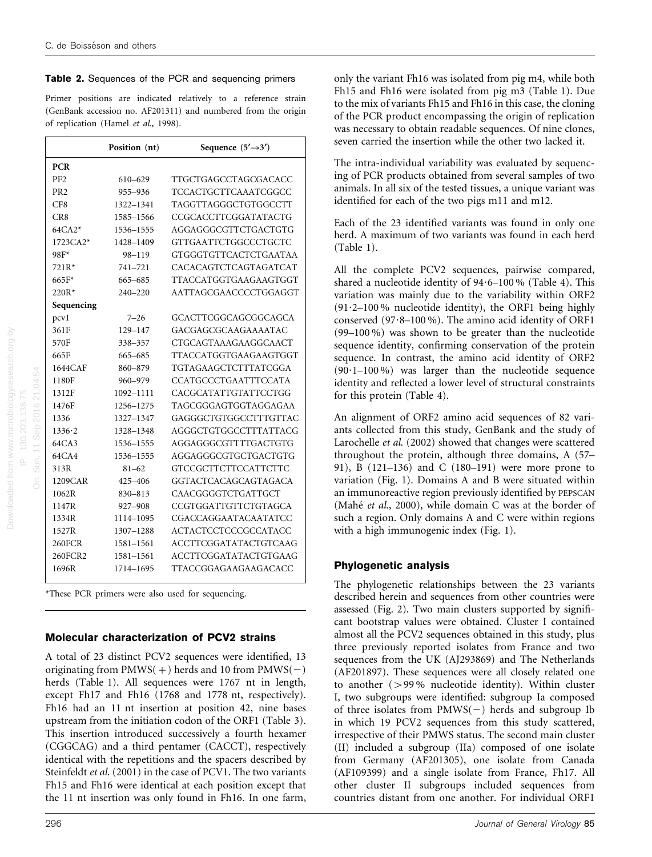#### Table 2. Sequences of the PCR and sequencing primers

Primer positions are indicated relatively to a reference strain (GenBank accession no. AF201311) and numbered from the origin of replication (Hamel et al., 1998).

|                 | Position (nt) | Sequence $(5' \rightarrow 3')$ |  |  |  |  |  |  |
|-----------------|---------------|--------------------------------|--|--|--|--|--|--|
| <b>PCR</b>      |               |                                |  |  |  |  |  |  |
| PF <sub>2</sub> | 610-629       | TTGCTGAGCCTAGCGACACC           |  |  |  |  |  |  |
| PR <sub>2</sub> | 955-936       | TCCACTGCTTCAAATCGGCC           |  |  |  |  |  |  |
| CF8             | 1322-1341     | TAGGTTAGGGCTGTGGCCTT           |  |  |  |  |  |  |
| CR8             | 1585-1566     | CCGCACCTTCGGATATACTG           |  |  |  |  |  |  |
| $64CA2*$        | 1536-1555     | AGGAGGGCGTTCTGACTGTG           |  |  |  |  |  |  |
| $1723CA2*$      | 1428-1409     | <b>GTTGAATTCTGGCCCTGCTC</b>    |  |  |  |  |  |  |
| 98F*            | $98 - 119$    | <b>GTGGGTGTTCACTCTGAATAA</b>   |  |  |  |  |  |  |
| $721R*$         | 741-721       | CACACAGTCTCAGTAGATCAT          |  |  |  |  |  |  |
| $665F*$         | 665-685       | TTACCATGGTGAAGAAGTGGT          |  |  |  |  |  |  |
| $220R*$         | $240 - 220$   | AATTAGCGAACCCCTGGAGGT          |  |  |  |  |  |  |
| Sequencing      |               |                                |  |  |  |  |  |  |
| pcvl            | $7 - 26$      | GCACTTCGGCAGCGGCAGCA           |  |  |  |  |  |  |
| 361F            | 129-147       | GACGAGCGCAAGAAAATAC            |  |  |  |  |  |  |
| 570F            | 338-357       | CTGCAGTAAAGAAGGCAACT           |  |  |  |  |  |  |
| 665F            | 665-685       | TTACCATGGTGAAGAAGTGGT          |  |  |  |  |  |  |
| 1644CAF         | 860-879       | TGTAGAAGCTCTTTATCGGA           |  |  |  |  |  |  |
| 1180F           | 960-979       | CCATGCCCTGAATTTCCATA           |  |  |  |  |  |  |
| 1312F           | 1092-1111     | CACGCATATTGTATTCCTGG           |  |  |  |  |  |  |
| 1476F           | 1256-1275     | TAGCGGGAGTGGTAGGAGAA           |  |  |  |  |  |  |
| 1336            | 1327-1347     | GAGGGCTGTGGCCTTTGTTAC          |  |  |  |  |  |  |
| 1336.2          | 1328-1348     | AGGGCTGTGGCCTTTATTACG          |  |  |  |  |  |  |
| 64CA3           | 1536-1555     | AGGAGGGCGTTTTGACTGTG           |  |  |  |  |  |  |
| 64CA4           | 1536-1555     | AGGAGGGCGTGCTGACTGTG           |  |  |  |  |  |  |
| 313R            | $81 - 62$     | <b>GTCCGCTTCTTCCATTCTTC</b>    |  |  |  |  |  |  |
| 1209CAR         | 425-406       | GGTACTCACAGCAGTAGACA           |  |  |  |  |  |  |
| 1062R           | $830 - 813$   | CAACGGGGTCTGATTGCT             |  |  |  |  |  |  |
| 1147R           | 927-908       | CCGTGGATTGTTCTGTAGCA           |  |  |  |  |  |  |
| 1334R           | 1114-1095     | CGACCAGGAATACAATATCC           |  |  |  |  |  |  |
| 1527R           | 1307-1288     | <b>ACTACTCCTCCCGCCATACC</b>    |  |  |  |  |  |  |
| 260FCR          | 1581-1561     | ACCTTCGGATATACTGTCAAG          |  |  |  |  |  |  |
| 260FCR2         | 1581-1561     | <b>ACCTTCGGATATACTGTGAAG</b>   |  |  |  |  |  |  |
| 1696R           | 1714-1695     | TTACCGGAGAAGAAGACACC           |  |  |  |  |  |  |
|                 |               |                                |  |  |  |  |  |  |

\*These PCR primers were also used for sequencing.

#### Molecular characterization of PCV2 strains

A total of 23 distinct PCV2 sequences were identified, 13 originating from  $PMWS(+)$  herds and 10 from  $PMWS(-)$ herds (Table 1). All sequences were 1767 nt in length, except Fh17 and Fh16 (1768 and 1778 nt, respectively). Fh16 had an 11 nt insertion at position 42, nine bases upstream from the initiation codon of the ORF1 (Table 3). This insertion introduced successively a fourth hexamer (CGGCAG) and a third pentamer (CACCT), respectively identical with the repetitions and the spacers described by Steinfeldt et al. (2001) in the case of PCV1. The two variants Fh15 and Fh16 were identical at each position except that the 11 nt insertion was only found in Fh16. In one farm,

Downloaded from www.microbiologyresearch.org by IP: 130.203.136.75 On: Sun, 11 Sep 2016 21:04:54

Sun. 11 Sep 2016 21:04:54 IP: 130.203.136.75

only the variant Fh16 was isolated from pig m4, while both Fh15 and Fh16 were isolated from pig m3 (Table 1). Due to the mix of variants Fh15 and Fh16 in this case, the cloning of the PCR product encompassing the origin of replication was necessary to obtain readable sequences. Of nine clones, seven carried the insertion while the other two lacked it.

The intra-individual variability was evaluated by sequencing of PCR products obtained from several samples of two animals. In all six of the tested tissues, a unique variant was identified for each of the two pigs m11 and m12.

Each of the 23 identified variants was found in only one herd. A maximum of two variants was found in each herd (Table 1).

All the complete PCV2 sequences, pairwise compared, shared a nucleotide identity of  $94.6-100\%$  (Table 4). This variation was mainly due to the variability within ORF2  $(91.2–100\%$  nucleotide identity), the ORF1 being highly conserved  $(97.8-100\%)$ . The amino acid identity of ORF1 (99–100 %) was shown to be greater than the nucleotide sequence identity, confirming conservation of the protein sequence. In contrast, the amino acid identity of ORF2  $(90.1–100\%)$  was larger than the nucleotide sequence identity and reflected a lower level of structural constraints for this protein (Table 4).

An alignment of ORF2 amino acid sequences of 82 variants collected from this study, GenBank and the study of Larochelle et al. (2002) showed that changes were scattered throughout the protein, although three domains, A (57– 91), B (121–136) and C (180–191) were more prone to variation (Fig. 1). Domains A and B were situated within an immunoreactive region previously identified by PEPSCAN (Mahé et al., 2000), while domain C was at the border of such a region. Only domains A and C were within regions with a high immunogenic index (Fig. 1).

#### Phylogenetic analysis

The phylogenetic relationships between the 23 variants described herein and sequences from other countries were assessed (Fig. 2). Two main clusters supported by significant bootstrap values were obtained. Cluster I contained almost all the PCV2 sequences obtained in this study, plus three previously reported isolates from France and two sequences from the UK (AJ293869) and The Netherlands (AF201897). These sequences were all closely related one to another  $(>99\%$  nucleotide identity). Within cluster I, two subgroups were identified: subgroup Ia composed of three isolates from  $PMWS(-)$  herds and subgroup Ib in which 19 PCV2 sequences from this study scattered, irrespective of their PMWS status. The second main cluster (II) included a subgroup (IIa) composed of one isolate from Germany (AF201305), one isolate from Canada (AF109399) and a single isolate from France, Fh17. All other cluster II subgroups included sequences from countries distant from one another. For individual ORF1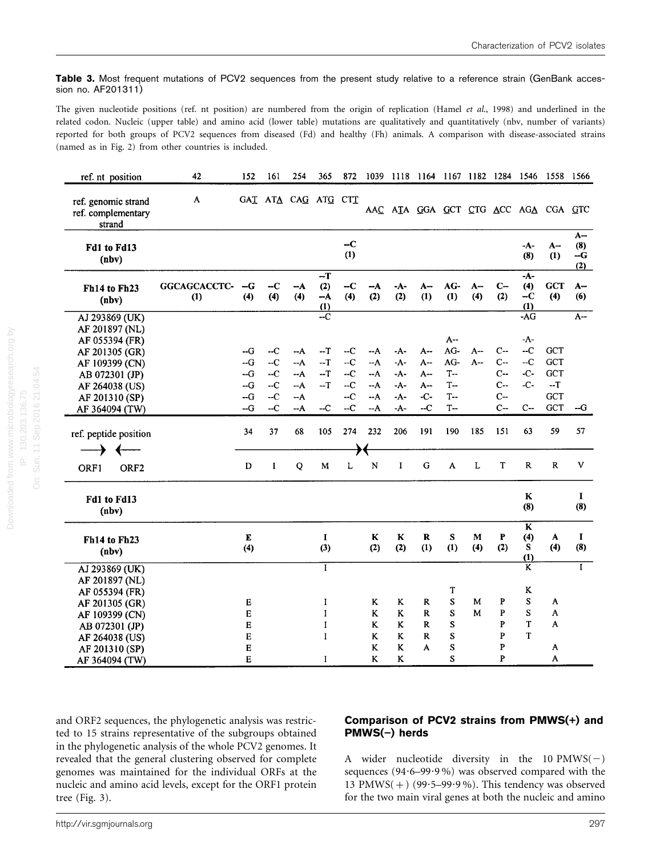Table 3. Most frequent mutations of PCV2 sequences from the present study relative to a reference strain (GenBank accession no. AF201311)

The given nucleotide positions (ref. nt position) are numbered from the origin of replication (Hamel et al., 1998) and underlined in the related codon. Nucleic (upper table) and amino acid (lower table) mutations are qualitatively and quantitatively (nbv, number of variants) reported for both groups of PCV2 sequences from diseased (Fd) and healthy (Fh) animals. A comparison with disease-associated strains (named as in Fig. 2) from other countries is included.

| ref. nt position                                    | 42                  | 152            | 161          | 254                 | 365                     | 872          |                |              |              |              |             |                |                         | 1039 1118 1164 1167 1182 1284 1546 1558 1566 |                             |
|-----------------------------------------------------|---------------------|----------------|--------------|---------------------|-------------------------|--------------|----------------|--------------|--------------|--------------|-------------|----------------|-------------------------|----------------------------------------------|-----------------------------|
| ref. genomic strand<br>ref. complementary<br>strand | A                   |                |              | GAI ATA CAG ATG CTI |                         |              |                |              |              |              |             |                |                         | AAC ATA GGA GCT CTG ACC AGA CGA GTC          |                             |
| Fd1 to Fd13<br>(nbv)                                |                     |                |              |                     |                         | $-C$<br>(1)  |                |              |              |              |             |                | -A-<br>(8)              | A--<br>(1)                                   | $A -$<br>(8)<br>$-G$<br>(2) |
| Fh14 to Fh23<br>(nbv)                               | GGCAGCACCTC-<br>(1) | $-G$<br>(4)    | $-C$<br>(4)  | --A<br>(4)          | -T<br>(2)<br>--A<br>(1) | $-C$<br>(4)  | $-A$<br>(2)    | -A-<br>(2)   | $A-$<br>(1)  | $AG-$<br>(1) | $A-$<br>(4) | $C-$<br>(2)    | -A-<br>(4)<br>-C<br>(1) | <b>GCT</b><br>(4)                            | $A-$<br>(6)                 |
| AJ 293869 (UK)                                      |                     |                |              |                     | $-c$                    |              |                |              |              |              |             |                | $-AG$                   |                                              | $A -$                       |
| AF 201897 (NL)<br>AF 055394 (FR)<br>AF 201305 (GR)  |                     | $-G$           | --C          | $-A$                | $-T$                    | $-C$         | --A            | -A-          | A --         | A--<br>AG-   | $A-$        | $C -$          | -A-<br>$-C$             | GCT                                          |                             |
| AF 109399 (CN)                                      |                     | $-G$           | $-C$         | --A                 | $-T$                    | $-C$         | $-A$           | $-A-$        | A --         | AG-          | $A -$       | $C -$          | $-C$                    | <b>GCT</b>                                   |                             |
| AB 072301 (JP)                                      |                     | $-G$<br>$-G$   | $-C$<br>$-C$ | $-A$<br>$-A$        | $-T$<br>$-T$            | $-C$<br>$-C$ | $-A$<br>--A    | -A-<br>$-A-$ | $A -$<br>A-- | $T-$<br>$T-$ |             | $C -$<br>$C -$ | $-C-$<br>$-C -$         | GCT<br>$-T$                                  |                             |
| AF 264038 (US)<br>AF 201310 (SP)                    |                     | $-G$           | $-C$         | $-A$                |                         | $-C$         | $-A$           | $-A-$        | $-C-$        | $T-$         |             | $C-$           |                         | GCT                                          |                             |
| AF 364094 (TW)                                      |                     | --G            | $-C$         | $-A$                | $-C$                    | $-C$         | --A            | -A-          | $-C$         | $T-$         |             | $C-$           | $C-$                    | GCT                                          | --G                         |
| ref. peptide position                               |                     | 34             | 37           | 68                  | 105                     | 274          | 232            | 206          | 191          | 190          | 185         | 151            | 63                      | 59                                           | 57                          |
| ≯<br>$\leftarrow$                                   |                     | D              | I            | Q                   | М                       | L            | N              | I            | G            | A            | L           | T              | $\mathbf R$             | $\mathbf R$                                  | v                           |
| ORF1<br>ORF <sub>2</sub>                            |                     |                |              |                     |                         |              |                |              |              |              |             |                |                         |                                              |                             |
| Fd1 to Fd13<br>(nbv)                                |                     |                |              |                     |                         |              |                |              |              |              |             |                | $\bf K$<br>(8)          |                                              | 1<br>(8)                    |
| Fh14 to Fh23<br>(nbv)                               |                     | $\bf E$<br>(4) |              |                     | I<br>$(3)$              |              | $\bf K$<br>(2) | K<br>(2)     | R<br>(1)     | S<br>(1)     | М<br>(4)    | P<br>(2)       | K<br>(4)<br>s<br>(1)    | A<br>(4)                                     | 1<br>(8)                    |
| AJ 293869 (UK)                                      |                     |                |              |                     | $\bf{I}$                |              |                |              |              |              |             |                | $\overline{\mathbf{k}}$ |                                              | $\overline{I}$              |
| AF 201897 (NL)                                      |                     |                |              |                     |                         |              |                |              |              | T            |             |                | K                       |                                              |                             |
| AF 055394 (FR)<br>AF 201305 (GR)                    |                     | $\bf E$        |              |                     | 1                       |              | K              | K            | R            | ${\bf S}$    | M           | P              | ${\bf S}$               | A                                            |                             |
| AF 109399 (CN)                                      |                     | E              |              |                     | I                       |              | K              | $\bf K$      | R            | S            | M           | P              | S                       | A                                            |                             |
| AB 072301 (JP)                                      |                     | E              |              |                     | I                       |              | $\bf K$        | K            | R            | S            |             | $\mathbf P$    | T                       | A                                            |                             |
| AF 264038 (US)                                      |                     | $\bf E$        |              |                     | I                       |              | K              | K            | R            | S            |             | P              | T                       |                                              |                             |
| AF 201310 (SP)                                      |                     | $\mathbf E$    |              |                     |                         |              | K              | K            | A            | S            |             | P              |                         | A                                            |                             |
| AF 364094 (TW)                                      |                     | E              |              |                     | 1                       |              | K              | K            |              | S            |             | P              |                         | A                                            |                             |

and ORF2 sequences, the phylogenetic analysis was restricted to 15 strains representative of the subgroups obtained in the phylogenetic analysis of the whole PCV2 genomes. It revealed that the general clustering observed for complete genomes was maintained for the individual ORFs at the nucleic and amino acid levels, except for the ORF1 protein tree (Fig. 3).

#### Comparison of PCV2 strains from PMWS(+) and  $PMWS(-)$  herds

A wider nucleotide diversity in the 10 PMWS( $-$ ) sequences  $(94.6-99.9\%)$  was observed compared with the 13 PMWS(+) (99 $\cdot$ 5–99 $\cdot$ 9%). This tendency was observed for the two main viral genes at both the nucleic and amino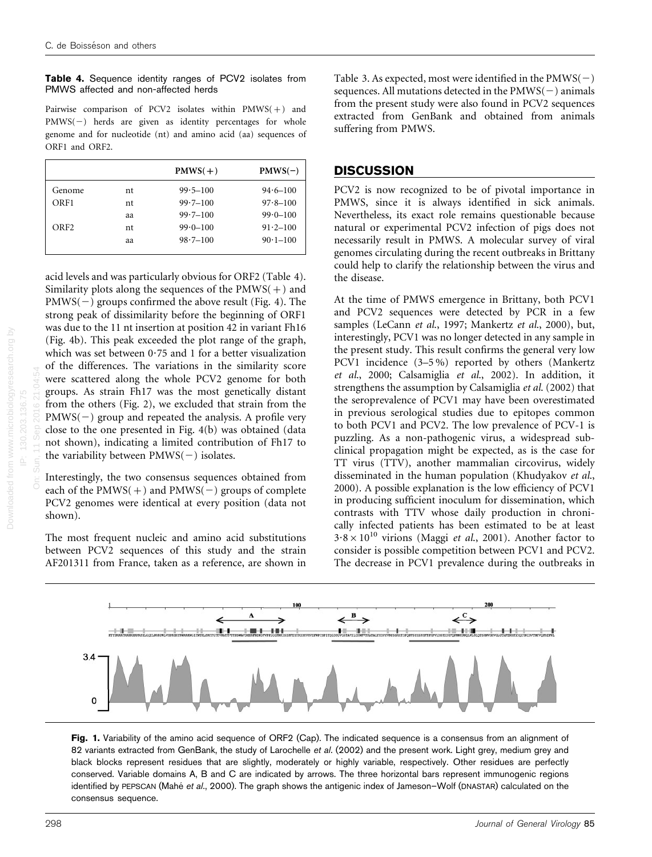Table 4. Sequence identity ranges of PCV2 isolates from PMWS affected and non-affected herds

Pairwise comparison of PCV2 isolates within  $PMWS(+)$  and  $PMWS(-)$  herds are given as identity percentages for whole genome and for nucleotide (nt) and amino acid (aa) sequences of ORF1 and ORF2.

|    | $PMWS(+)$    | $PMWS(-)$    |
|----|--------------|--------------|
| nt | $99.5 - 100$ | $94.6 - 100$ |
| nt | $99.7 - 100$ | $97.8 - 100$ |
|    | $99.7 - 100$ | $99.0 - 100$ |
| nt | $99.0 - 100$ | $91.2 - 100$ |
|    | $98.7 - 100$ | $90.1 - 100$ |
|    | aa<br>aa     |              |

acid levels and was particularly obvious for ORF2 (Table 4). Similarity plots along the sequences of the  $PMWS(+)$  and  $PMWS(-)$  groups confirmed the above result (Fig. 4). The strong peak of dissimilarity before the beginning of ORF1 was due to the 11 nt insertion at position 42 in variant Fh16 (Fig. 4b). This peak exceeded the plot range of the graph, which was set between  $0.75$  and 1 for a better visualization of the differences. The variations in the similarity score were scattered along the whole PCV2 genome for both groups. As strain Fh17 was the most genetically distant from the others (Fig. 2), we excluded that strain from the  $PMWS(-)$  group and repeated the analysis. A profile very close to the one presented in Fig. 4(b) was obtained (data not shown), indicating a limited contribution of Fh17 to the variability between  $PMWS(-)$  isolates.

Interestingly, the two consensus sequences obtained from each of the  $PMWS(+)$  and  $PMWS(-)$  groups of complete PCV2 genomes were identical at every position (data not shown).

The most frequent nucleic and amino acid substitutions between PCV2 sequences of this study and the strain AF201311 from France, taken as a reference, are shown in

Table 3. As expected, most were identified in the  $PMWS(-)$ sequences. All mutations detected in the  $PMWS(-)$  animals from the present study were also found in PCV2 sequences extracted from GenBank and obtained from animals suffering from PMWS.

#### **DISCUSSION**

PCV2 is now recognized to be of pivotal importance in PMWS, since it is always identified in sick animals. Nevertheless, its exact role remains questionable because natural or experimental PCV2 infection of pigs does not necessarily result in PMWS. A molecular survey of viral genomes circulating during the recent outbreaks in Brittany could help to clarify the relationship between the virus and the disease.

At the time of PMWS emergence in Brittany, both PCV1 and PCV2 sequences were detected by PCR in a few samples (LeCann et al., 1997; Mankertz et al., 2000), but, interestingly, PCV1 was no longer detected in any sample in the present study. This result confirms the general very low PCV1 incidence (3–5 %) reported by others (Mankertz et al., 2000; Calsamiglia et al., 2002). In addition, it strengthens the assumption by Calsamiglia et al. (2002) that the seroprevalence of PCV1 may have been overestimated in previous serological studies due to epitopes common to both PCV1 and PCV2. The low prevalence of PCV-1 is puzzling. As a non-pathogenic virus, a widespread subclinical propagation might be expected, as is the case for TT virus (TTV), another mammalian circovirus, widely disseminated in the human population (Khudyakov et al., 2000). A possible explanation is the low efficiency of PCV1 in producing sufficient inoculum for dissemination, which contrasts with TTV whose daily production in chronically infected patients has been estimated to be at least  $3.8 \times 10^{10}$  virions (Maggi *et al.*, 2001). Another factor to consider is possible competition between PCV1 and PCV2. The decrease in PCV1 prevalence during the outbreaks in



Fig. 1. Variability of the amino acid sequence of ORF2 (Cap). The indicated sequence is a consensus from an alignment of 82 variants extracted from GenBank, the study of Larochelle et al. (2002) and the present work. Light grey, medium grey and black blocks represent residues that are slightly, moderately or highly variable, respectively. Other residues are perfectly conserved. Variable domains A, B and C are indicated by arrows. The three horizontal bars represent immunogenic regions identified by PEPSCAN (Mahé et al., 2000). The graph shows the antigenic index of Jameson–Wolf (DNASTAR) calculated on the consensus sequence.

On: Sun, 11 Sep 2016 21:04:54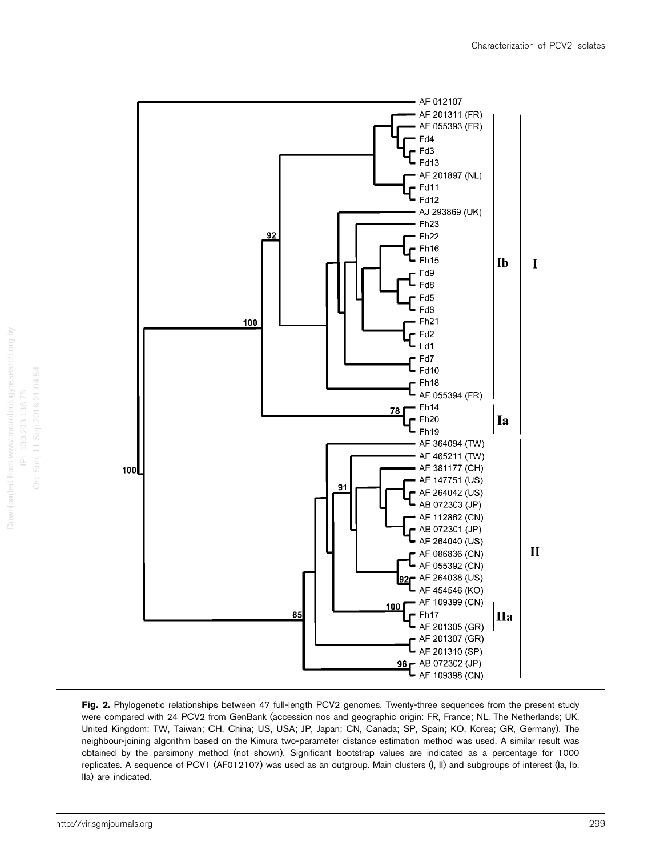

Fig. 2. Phylogenetic relationships between 47 full-length PCV2 genomes. Twenty-three sequences from the present study were compared with 24 PCV2 from GenBank (accession nos and geographic origin: FR, France; NL, The Netherlands; UK, United Kingdom; TW, Taiwan; CH, China; US, USA; JP, Japan; CN, Canada; SP, Spain; KO, Korea; GR, Germany). The neighbour-joining algorithm based on the Kimura two-parameter distance estimation method was used. A similar result was obtained by the parsimony method (not shown). Significant bootstrap values are indicated as a percentage for 1000 replicates. A sequence of PCV1 (AF012107) was used as an outgroup. Main clusters (I, II) and subgroups of interest (Ia, Ib, IIa) are indicated.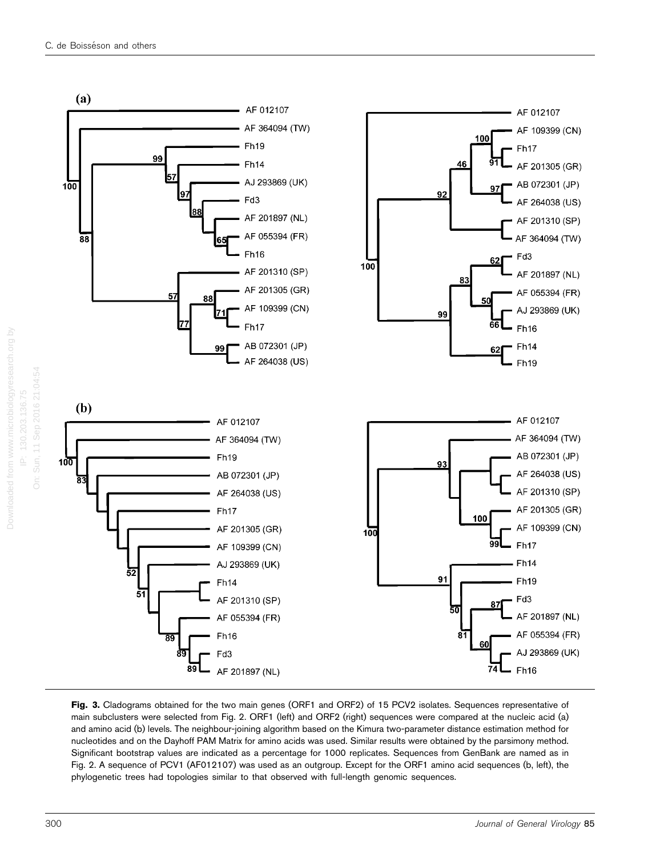

Fig. 3. Cladograms obtained for the two main genes (ORF1 and ORF2) of 15 PCV2 isolates. Sequences representative of main subclusters were selected from Fig. 2. ORF1 (left) and ORF2 (right) sequences were compared at the nucleic acid (a) and amino acid (b) levels. The neighbour-joining algorithm based on the Kimura two-parameter distance estimation method for nucleotides and on the Dayhoff PAM Matrix for amino acids was used. Similar results were obtained by the parsimony method. Significant bootstrap values are indicated as a percentage for 1000 replicates. Sequences from GenBank are named as in Fig. 2. A sequence of PCV1 (AF012107) was used as an outgroup. Except for the ORF1 amino acid sequences (b, left), the phylogenetic trees had topologies similar to that observed with full-length genomic sequences.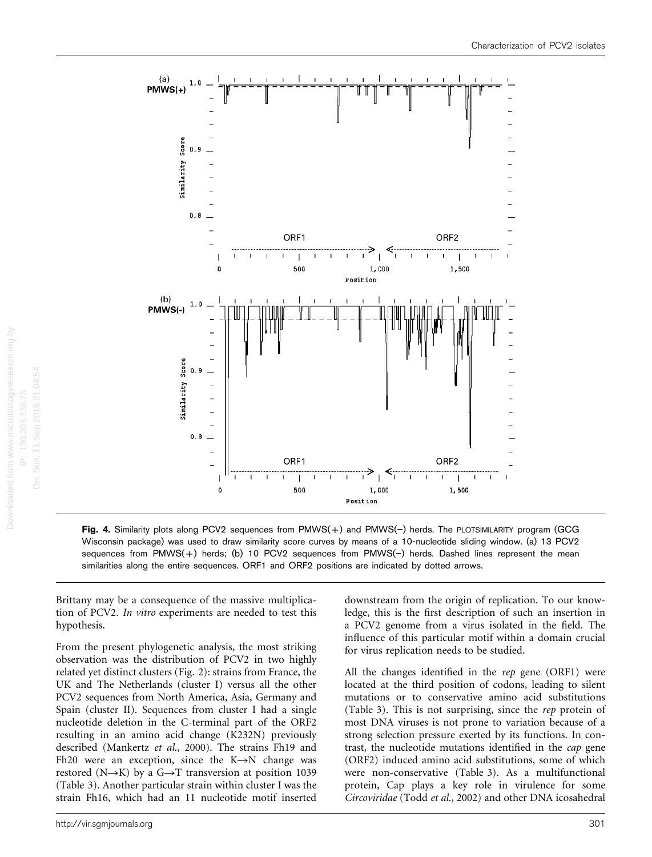

Fig. 4. Similarity plots along PCV2 sequences from PMWS(+) and PMWS(-) herds. The PLOTSIMILARITY program (GCG Wisconsin package) was used to draw similarity score curves by means of a 10-nucleotide sliding window. (a) 13 PCV2 sequences from PMWS(+) herds; (b) 10 PCV2 sequences from PMWS(-) herds. Dashed lines represent the mean similarities along the entire sequences. ORF1 and ORF2 positions are indicated by dotted arrows.

Brittany may be a consequence of the massive multiplication of PCV2. In vitro experiments are needed to test this hypothesis.

From the present phylogenetic analysis, the most striking observation was the distribution of PCV2 in two highly related yet distinct clusters (Fig. 2): strains from France, the UK and The Netherlands (cluster I) versus all the other PCV2 sequences from North America, Asia, Germany and Spain (cluster II). Sequences from cluster I had a single nucleotide deletion in the C-terminal part of the ORF2 resulting in an amino acid change (K232N) previously described (Mankertz et al., 2000). The strains Fh19 and Fh20 were an exception, since the  $K \rightarrow N$  change was restored (N $\rightarrow$ K) by a G $\rightarrow$ T transversion at position 1039 (Table 3). Another particular strain within cluster I was the strain Fh16, which had an 11 nucleotide motif inserted

downstream from the origin of replication. To our knowledge, this is the first description of such an insertion in a PCV2 genome from a virus isolated in the field. The influence of this particular motif within a domain crucial for virus replication needs to be studied.

All the changes identified in the rep gene (ORF1) were located at the third position of codons, leading to silent mutations or to conservative amino acid substitutions (Table 3). This is not surprising, since the rep protein of most DNA viruses is not prone to variation because of a strong selection pressure exerted by its functions. In contrast, the nucleotide mutations identified in the cap gene (ORF2) induced amino acid substitutions, some of which were non-conservative (Table 3). As a multifunctional protein, Cap plays a key role in virulence for some Circoviridae (Todd et al., 2002) and other DNA icosahedral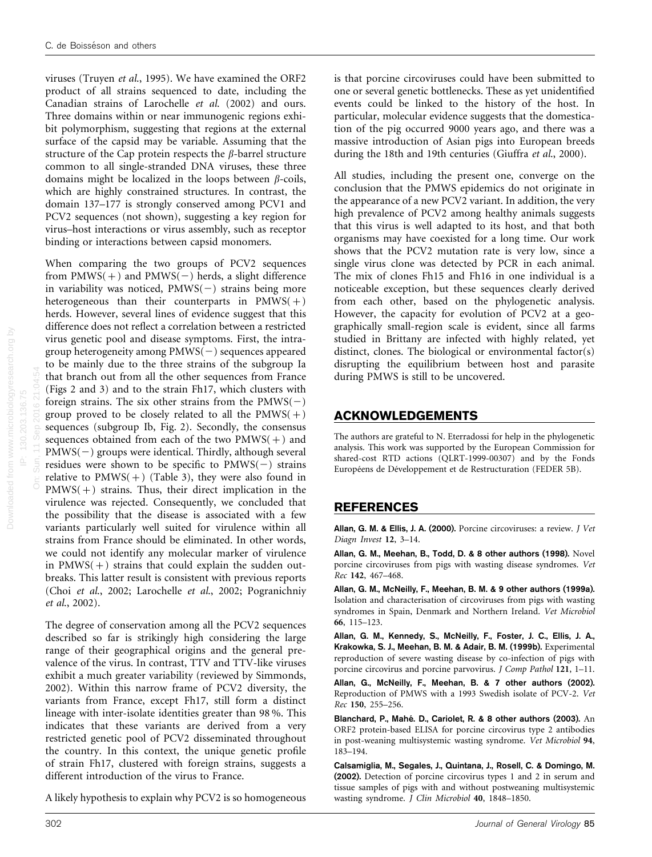viruses (Truyen et al., 1995). We have examined the ORF2 product of all strains sequenced to date, including the Canadian strains of Larochelle et al. (2002) and ours. Three domains within or near immunogenic regions exhibit polymorphism, suggesting that regions at the external surface of the capsid may be variable. Assuming that the structure of the Cap protein respects the  $\beta$ -barrel structure common to all single-stranded DNA viruses, these three domains might be localized in the loops between  $\beta$ -coils, which are highly constrained structures. In contrast, the domain 137–177 is strongly conserved among PCV1 and PCV2 sequences (not shown), suggesting a key region for virus–host interactions or virus assembly, such as receptor binding or interactions between capsid monomers.

On: Sun, 11 Sep 2016 21:04:54 When comparing the two groups of PCV2 sequences from  $PMWS(+)$  and  $PMWS(-)$  herds, a slight difference in variability was noticed,  $PMWS(-)$  strains being more heterogeneous than their counterparts in  $PMWS(+)$ herds. However, several lines of evidence suggest that this difference does not reflect a correlation between a restricted virus genetic pool and disease symptoms. First, the intragroup heterogeneity among  $PMWS(-)$  sequences appeared to be mainly due to the three strains of the subgroup Ia that branch out from all the other sequences from France (Figs 2 and 3) and to the strain Fh17, which clusters with foreign strains. The six other strains from the  $PMWS(-)$ group proved to be closely related to all the  $PMWS(+)$ sequences (subgroup Ib, Fig. 2). Secondly, the consensus sequences obtained from each of the two  $PMWS(+)$  and  $PMWS(-)$  groups were identical. Thirdly, although several residues were shown to be specific to  $PMWS(-)$  strains relative to  $PMWS(+)$  (Table 3), they were also found in  $PMWS(+)$  strains. Thus, their direct implication in the virulence was rejected. Consequently, we concluded that the possibility that the disease is associated with a few variants particularly well suited for virulence within all strains from France should be eliminated. In other words, we could not identify any molecular marker of virulence in  $PMWS(+)$  strains that could explain the sudden outbreaks. This latter result is consistent with previous reports (Choi et al., 2002; Larochelle et al., 2002; Pogranichniy et al., 2002).

The degree of conservation among all the PCV2 sequences described so far is strikingly high considering the large range of their geographical origins and the general prevalence of the virus. In contrast, TTV and TTV-like viruses exhibit a much greater variability (reviewed by Simmonds, 2002). Within this narrow frame of PCV2 diversity, the variants from France, except Fh17, still form a distinct lineage with inter-isolate identities greater than 98 %. This indicates that these variants are derived from a very restricted genetic pool of PCV2 disseminated throughout the country. In this context, the unique genetic profile of strain Fh17, clustered with foreign strains, suggests a different introduction of the virus to France.

A likely hypothesis to explain why PCV2 is so homogeneous

is that porcine circoviruses could have been submitted to one or several genetic bottlenecks. These as yet unidentified events could be linked to the history of the host. In particular, molecular evidence suggests that the domestication of the pig occurred 9000 years ago, and there was a massive introduction of Asian pigs into European breeds during the 18th and 19th centuries (Giuffra et al., 2000).

All studies, including the present one, converge on the conclusion that the PMWS epidemics do not originate in the appearance of a new PCV2 variant. In addition, the very high prevalence of PCV2 among healthy animals suggests that this virus is well adapted to its host, and that both organisms may have coexisted for a long time. Our work shows that the PCV2 mutation rate is very low, since a single virus clone was detected by PCR in each animal. The mix of clones Fh15 and Fh16 in one individual is a noticeable exception, but these sequences clearly derived from each other, based on the phylogenetic analysis. However, the capacity for evolution of PCV2 at a geographically small-region scale is evident, since all farms studied in Brittany are infected with highly related, yet distinct, clones. The biological or environmental factor(s) disrupting the equilibrium between host and parasite during PMWS is still to be uncovered.

### ACKNOWLEDGEMENTS

The authors are grateful to N. Eterradossi for help in the phylogenetic analysis. This work was supported by the European Commission for shared-cost RTD actions (QLRT-1999-00307) and by the Fonds Européens de Développement et de Restructuration (FEDER 5B).

# REFERENCES

Allan, G. M. & Ellis, J. A. (2000). Porcine circoviruses: a review. J Vet Diagn Invest 12, 3–14.

Allan, G. M., Meehan, B., Todd, D. & 8 other authors (1998). Novel porcine circoviruses from pigs with wasting disease syndromes. Vet Rec 142, 467–468.

Allan, G. M., McNeilly, F., Meehan, B. M. & 9 other authors (1999a). Isolation and characterisation of circoviruses from pigs with wasting syndromes in Spain, Denmark and Northern Ireland. Vet Microbiol 66, 115–123.

Allan, G. M., Kennedy, S., McNeilly, F., Foster, J. C., Ellis, J. A., Krakowka, S. J., Meehan, B. M. & Adair, B. M. (1999b). Experimental reproduction of severe wasting disease by co-infection of pigs with porcine circovirus and porcine parvovirus. J Comp Pathol 121, 1–11.

Allan, G., McNeilly, F., Meehan, B. & 7 other authors (2002). Reproduction of PMWS with a 1993 Swedish isolate of PCV-2. Vet Rec 150, 255–256.

Blanchard, P., Mahé. D., Cariolet, R. & 8 other authors (2003). An ORF2 protein-based ELISA for porcine circovirus type 2 antibodies in post-weaning multisystemic wasting syndrome. Vet Microbiol 94, 183–194.

Calsamiglia, M., Segales, J., Quintana, J., Rosell, C. & Domingo, M. (2002). Detection of porcine circovirus types 1 and 2 in serum and tissue samples of pigs with and without postweaning multisystemic wasting syndrome. J Clin Microbiol 40, 1848–1850.

Downloaded from www.microbiologyresearch.org by IP: 130.203.136.75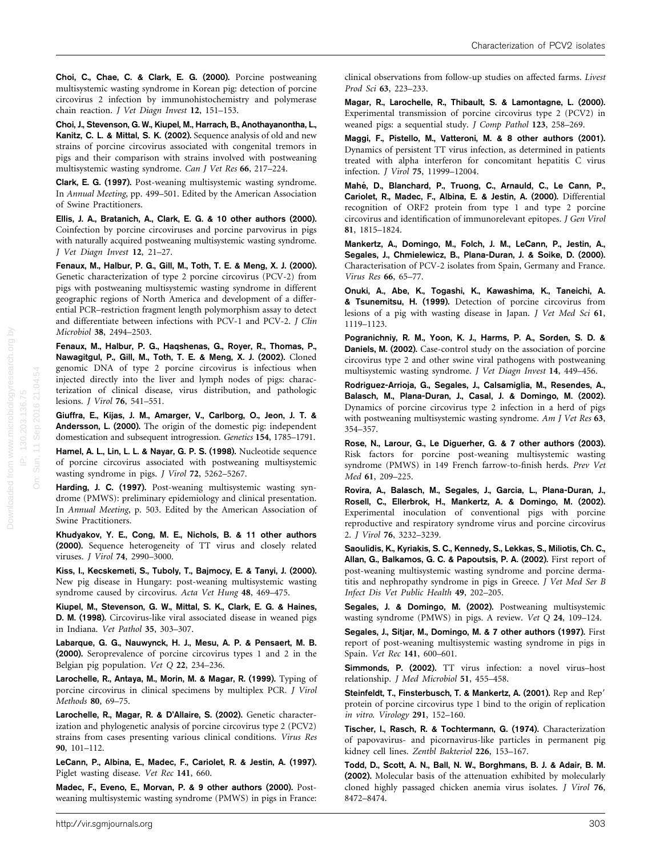Choi, C., Chae, C. & Clark, E. G. (2000). Porcine postweaning multisystemic wasting syndrome in Korean pig: detection of porcine circovirus 2 infection by immunohistochemistry and polymerase chain reaction. J Vet Diagn Invest 12, 151–153.

Choi, J., Stevenson, G. W., Kiupel, M., Harrach, B., Anothayanontha, L., Kanitz, C. L. & Mittal, S. K. (2002). Sequence analysis of old and new strains of porcine circovirus associated with congenital tremors in pigs and their comparison with strains involved with postweaning multisystemic wasting syndrome. Can J Vet Res 66, 217–224.

Clark, E. G. (1997). Post-weaning multisystemic wasting syndrome. In Annual Meeting, pp. 499–501. Edited by the American Association of Swine Practitioners.

Ellis, J. A., Bratanich, A., Clark, E. G. & 10 other authors (2000). Coinfection by porcine circoviruses and porcine parvovirus in pigs with naturally acquired postweaning multisystemic wasting syndrome. J Vet Diagn Invest 12, 21–27.

Fenaux, M., Halbur, P. G., Gill, M., Toth, T. E. & Meng, X. J. (2000). Genetic characterization of type 2 porcine circovirus (PCV-2) from pigs with postweaning multisystemic wasting syndrome in different geographic regions of North America and development of a differential PCR–restriction fragment length polymorphism assay to detect and differentiate between infections with PCV-1 and PCV-2. J Clin Microbiol 38, 2494–2503.

Fenaux, M., Halbur, P. G., Haqshenas, G., Royer, R., Thomas, P., Nawagitgul, P., Gill, M., Toth, T. E. & Meng, X. J. (2002). Cloned genomic DNA of type 2 porcine circovirus is infectious when injected directly into the liver and lymph nodes of pigs: characterization of clinical disease, virus distribution, and pathologic lesions. J Virol 76, 541–551.

Giuffra, E., Kijas, J. M., Amarger, V., Carlborg, O., Jeon, J. T. & Andersson, L. (2000). The origin of the domestic pig: independent domestication and subsequent introgression. Genetics 154, 1785–1791.

Hamel, A. L., Lin, L. L. & Nayar, G. P. S. (1998). Nucleotide sequence of porcine circovirus associated with postweaning multisystemic wasting syndrome in pigs. J Virol 72, 5262–5267.

Harding, J. C. (1997). Post-weaning multisystemic wasting syndrome (PMWS): preliminary epidemiology and clinical presentation. In Annual Meeting, p. 503. Edited by the American Association of Swine Practitioners.

Khudyakov, Y. E., Cong, M. E., Nichols, B. & 11 other authors (2000). Sequence heterogeneity of TT virus and closely related viruses. J Virol 74, 2990–3000.

Kiss, I., Kecskemeti, S., Tuboly, T., Bajmocy, E. & Tanyi, J. (2000). New pig disease in Hungary: post-weaning multisystemic wasting syndrome caused by circovirus. Acta Vet Hung 48, 469–475.

Kiupel, M., Stevenson, G. W., Mittal, S. K., Clark, E. G. & Haines, D. M. (1998). Circovirus-like viral associated disease in weaned pigs in Indiana. Vet Pathol 35, 303–307.

Labarque, G. G., Nauwynck, H. J., Mesu, A. P. & Pensaert, M. B. (2000). Seroprevalence of porcine circovirus types 1 and 2 in the Belgian pig population. Vet Q 22, 234–236.

Larochelle, R., Antaya, M., Morin, M. & Magar, R. (1999). Typing of porcine circovirus in clinical specimens by multiplex PCR. J Virol Methods 80, 69–75.

Larochelle, R., Magar, R. & D'Allaire, S. (2002). Genetic characterization and phylogenetic analysis of porcine circovirus type 2 (PCV2) strains from cases presenting various clinical conditions. Virus Res 90, 101–112.

LeCann, P., Albina, E., Madec, F., Cariolet, R. & Jestin, A. (1997). Piglet wasting disease. Vet Rec 141, 660.

Madec, F., Eveno, E., Morvan, P. & 9 other authors (2000). Postweaning multisystemic wasting syndrome (PMWS) in pigs in France: clinical observations from follow-up studies on affected farms. Livest Prod Sci 63, 223–233.

Magar, R., Larochelle, R., Thibault, S. & Lamontagne, L. (2000). Experimental transmission of porcine circovirus type 2 (PCV2) in weaned pigs: a sequential study. J Comp Pathol 123, 258–269.

Maggi, F., Pistello, M., Vatteroni, M. & 8 other authors (2001). Dynamics of persistent TT virus infection, as determined in patients treated with alpha interferon for concomitant hepatitis C virus infection. J Virol 75, 11999–12004.

Mahé, D., Blanchard, P., Truong, C., Arnauld, C., Le Cann, P., Cariolet, R., Madec, F., Albina, E. & Jestin, A. (2000). Differential recognition of ORF2 protein from type 1 and type 2 porcine circovirus and identification of immunorelevant epitopes. J Gen Virol 81, 1815–1824.

Mankertz, A., Domingo, M., Folch, J. M., LeCann, P., Jestin, A., Segales, J., Chmielewicz, B., Plana-Duran, J. & Soike, D. (2000). Characterisation of PCV-2 isolates from Spain, Germany and France. Virus Res 66, 65–77.

Onuki, A., Abe, K., Togashi, K., Kawashima, K., Taneichi, A. & Tsunemitsu, H. (1999). Detection of porcine circovirus from lesions of a pig with wasting disease in Japan. J Vet Med Sci 61, 1119–1123.

Pogranichniy, R. M., Yoon, K. J., Harms, P. A., Sorden, S. D. & Daniels, M. (2002). Case-control study on the association of porcine circovirus type 2 and other swine viral pathogens with postweaning multisystemic wasting syndrome. J Vet Diagn Invest 14, 449–456.

Rodriguez-Arrioja, G., Segales, J., Calsamiglia, M., Resendes, A., Balasch, M., Plana-Duran, J., Casal, J. & Domingo, M. (2002). Dynamics of porcine circovirus type 2 infection in a herd of pigs with postweaning multisystemic wasting syndrome. Am J Vet Res 63, 354–357.

Rose, N., Larour, G., Le Diguerher, G. & 7 other authors (2003). Risk factors for porcine post-weaning multisystemic wasting syndrome (PMWS) in 149 French farrow-to-finish herds. Prev Vet Med 61, 209–225.

Rovira, A., Balasch, M., Segales, J., Garcia, L., Plana-Duran, J., Rosell, C., Ellerbrok, H., Mankertz, A. & Domingo, M. (2002). Experimental inoculation of conventional pigs with porcine reproductive and respiratory syndrome virus and porcine circovirus 2. J Virol 76, 3232–3239.

Saoulidis, K., Kyriakis, S. C., Kennedy, S., Lekkas, S., Miliotis, Ch. C., Allan, G., Balkamos, G. C. & Papoutsis, P. A. (2002). First report of post-weaning multisystemic wasting syndrome and porcine dermatitis and nephropathy syndrome in pigs in Greece. J Vet Med Ser B Infect Dis Vet Public Health 49, 202–205.

Segales, J. & Domingo, M. (2002). Postweaning multisystemic wasting syndrome (PMWS) in pigs. A review. Vet Q 24, 109–124.

Segales, J., Sitjar, M., Domingo, M. & 7 other authors (1997). First report of post-weaning multisystemic wasting syndrome in pigs in Spain. Vet Rec 141, 600–601.

Simmonds, P. (2002). TT virus infection: a novel virus–host relationship. J Med Microbiol 51, 455–458.

Steinfeldt, T., Finsterbusch, T. & Mankertz, A. (2001). Rep and Rep' protein of porcine circovirus type 1 bind to the origin of replication in vitro. Virology 291, 152–160.

Tischer, I., Rasch, R. & Tochtermann, G. (1974). Characterization of papovavirus- and picornavirus-like particles in permanent pig kidney cell lines. Zentbl Bakteriol 226, 153–167.

Todd, D., Scott, A. N., Ball, N. W., Borghmans, B. J. & Adair, B. M. (2002). Molecular basis of the attenuation exhibited by molecularly cloned highly passaged chicken anemia virus isolates. J Virol 76, 8472–8474.